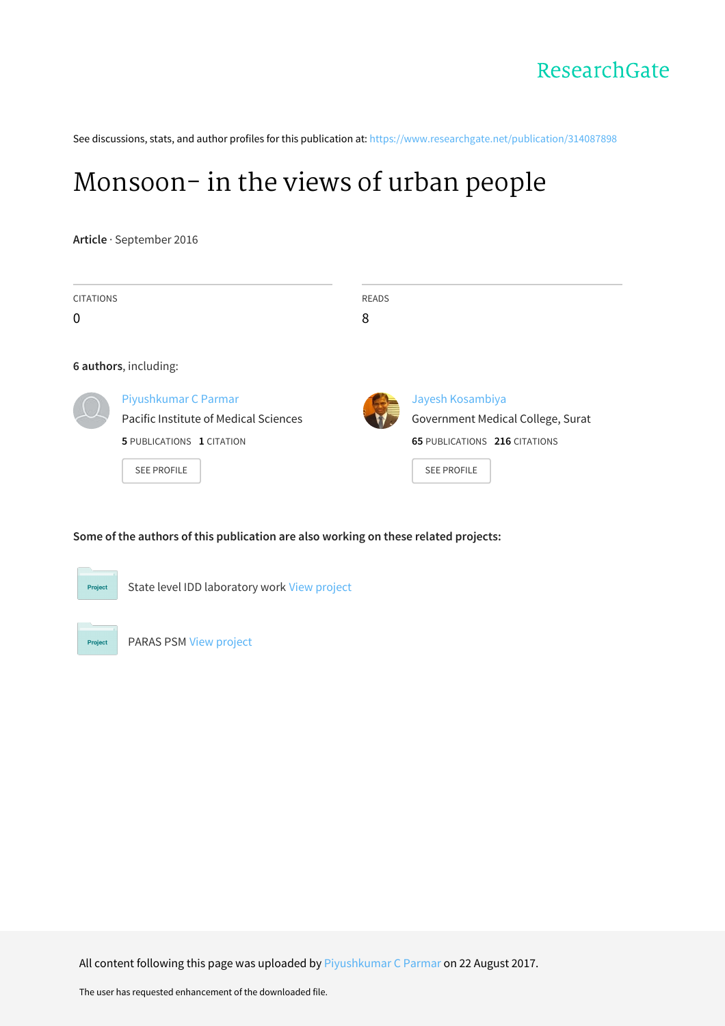See discussions, stats, and author profiles for this publication at: [https://www.researchgate.net/publication/314087898](https://www.researchgate.net/publication/314087898_Monsoon-_in_the_views_of_urban_people?enrichId=rgreq-b9af21092cff0d5db70a540c8f9ccbc7-XXX&enrichSource=Y292ZXJQYWdlOzMxNDA4Nzg5ODtBUzo1MzAwNjM3OTI4NDA3MDRAMTUwMzM4ODQ2NDc5Mg%3D%3D&el=1_x_2&_esc=publicationCoverPdf)

# [Monsoon-](https://www.researchgate.net/publication/314087898_Monsoon-_in_the_views_of_urban_people?enrichId=rgreq-b9af21092cff0d5db70a540c8f9ccbc7-XXX&enrichSource=Y292ZXJQYWdlOzMxNDA4Nzg5ODtBUzo1MzAwNjM3OTI4NDA3MDRAMTUwMzM4ODQ2NDc5Mg%3D%3D&el=1_x_3&_esc=publicationCoverPdf) in the views of urban people

**Article** · September 2016

| <b>CITATIONS</b><br>0 |                                                                                                                         | <b>READS</b><br>8 |                                                                                                                     |  |  |  |
|-----------------------|-------------------------------------------------------------------------------------------------------------------------|-------------------|---------------------------------------------------------------------------------------------------------------------|--|--|--|
|                       | 6 authors, including:                                                                                                   |                   |                                                                                                                     |  |  |  |
|                       | Piyushkumar C Parmar<br>Pacific Institute of Medical Sciences<br><b>5 PUBLICATIONS 1 CITATION</b><br><b>SEE PROFILE</b> |                   | Jayesh Kosambiya<br>Government Medical College, Surat<br><b>65 PUBLICATIONS 216 CITATIONS</b><br><b>SEE PROFILE</b> |  |  |  |

#### **Some of the authors of this publication are also working on these related projects:**



State level IDD laboratory work View [project](https://www.researchgate.net/project/State-level-IDD-laboratory-work?enrichId=rgreq-b9af21092cff0d5db70a540c8f9ccbc7-XXX&enrichSource=Y292ZXJQYWdlOzMxNDA4Nzg5ODtBUzo1MzAwNjM3OTI4NDA3MDRAMTUwMzM4ODQ2NDc5Mg%3D%3D&el=1_x_9&_esc=publicationCoverPdf)



PARAS PSM View [project](https://www.researchgate.net/project/PARAS-PSM?enrichId=rgreq-b9af21092cff0d5db70a540c8f9ccbc7-XXX&enrichSource=Y292ZXJQYWdlOzMxNDA4Nzg5ODtBUzo1MzAwNjM3OTI4NDA3MDRAMTUwMzM4ODQ2NDc5Mg%3D%3D&el=1_x_9&_esc=publicationCoverPdf)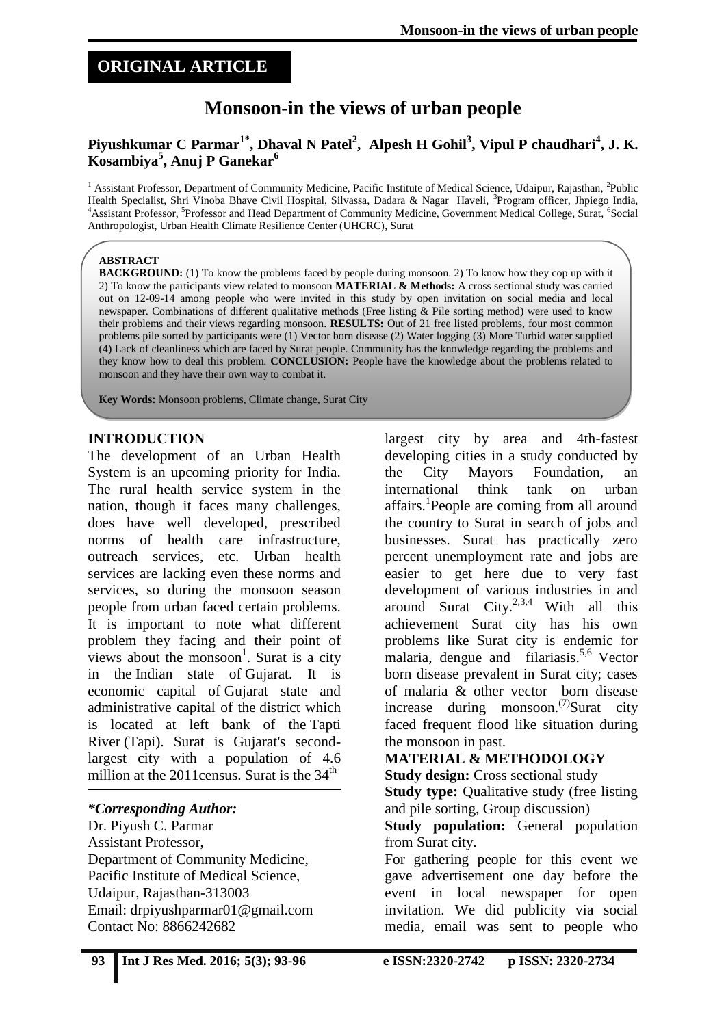## **ORIGINAL ARTICLE**

## **Monsoon-in the views of urban people**

#### **Piyushkumar C Parmar1\* , Dhaval N Patel<sup>2</sup> , Alpesh H Gohil<sup>3</sup> , Vipul P chaudhari<sup>4</sup> , J. K. Kosambiya<sup>5</sup> , Anuj P Ganekar<sup>6</sup>**

<sup>1</sup> Assistant Professor, Department of Community Medicine, Pacific Institute of Medical Science, Udaipur, Rajasthan, <sup>2</sup>Public Health Specialist, Shri Vinoba Bhave Civil Hospital, Silvassa, Dadara & Nagar Haveli, <sup>3</sup>Program officer, Jhpiego India, <sup>4</sup> Assistant Professor, <sup>5</sup> Professor and Head Department of Community Medicine, Government Medical College, Surat, <sup>6</sup> Social Anthropologist, Urban Health Climate Resilience Center (UHCRC), Surat

#### **ABSTRACT**

**BACKGROUND:** (1) To know the problems faced by people during monsoon. 2) To know how they cop up with it 2) To know the participants view related to monsoon **MATERIAL & Methods:** A cross sectional study was carried out on 12-09-14 among people who were invited in this study by open invitation on social media and local newspaper. Combinations of different qualitative methods (Free listing & Pile sorting method) were used to know their problems and their views regarding monsoon. **RESULTS:** Out of 21 free listed problems, four most common problems pile sorted by participants were (1) Vector born disease (2) Water logging (3) More Turbid water supplied (4) Lack of cleanliness which are faced by Surat people. Community has the knowledge regarding the problems and they know how to deal this problem. **CONCLUSION:** People have the knowledge about the problems related to monsoon and they have their own way to combat it.

**Key Words:** Monsoon problems, Climate change, Surat City

#### **INTRODUCTION**

The development of an Urban Health System is an upcoming priority for India. The rural health service system in the nation, though it faces many challenges, does have well developed, prescribed norms of health care infrastructure, outreach services, etc. Urban health services are lacking even these norms and services, so during the monsoon season people from urban faced certain problems. It is important to note what different problem they facing and their point of views about the monsoon<sup>1</sup>. Surat is a city in the Indian state of Gujarat. It is economic capital of Gujarat state and administrative capital of the district which is located at left bank of the Tapti River (Tapi). Surat is Gujarat's secondlargest city with a population of 4.6 million at the 2011census. Surat is the 34<sup>th</sup>

#### *\*Corresponding Author:*

Dr. Piyush C. Parmar Assistant Professor, Department of Community Medicine, Pacific Institute of Medical Science, Udaipur, Rajasthan-313003 Email: [drpiyushparmar01@gmail.com](mailto:drpiyushparmar01@gmail.com) Contact No: 8866242682

largest city by area and 4th-fastest developing cities in a study conducted by the City Mayors Foundation, an international think tank on urban affairs.<sup>1</sup>People are coming from all around the country to Surat in search of jobs and businesses. Surat has practically zero percent unemployment rate and jobs are easier to get here due to very fast development of various industries in and around Surat City.<sup>2,3,4</sup> With all this achievement Surat city has his own problems like Surat city is endemic for malaria, dengue and filariasis.<sup>5,6</sup> Vector born disease prevalent in Surat city; cases of malaria & other vector born disease increase during monsoon.<sup> $(7)$ </sup>Surat city faced frequent flood like situation during the monsoon in past.

## **MATERIAL & METHODOLOGY**

**Study design:** Cross sectional study

**Study type:** Qualitative study (free listing and pile sorting, Group discussion)

**Study population:** General population from Surat city.

For gathering people for this event we gave advertisement one day before the event in local newspaper for open invitation. We did publicity via social media, email was sent to people who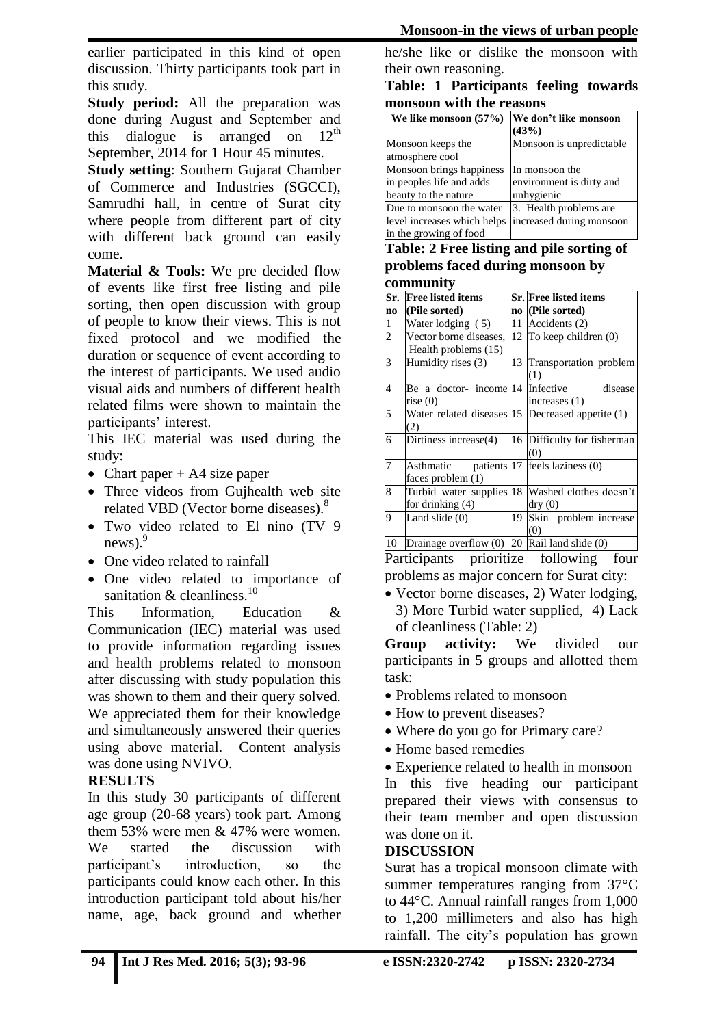earlier participated in this kind of open discussion. Thirty participants took part in this study.

**Study period:** All the preparation was done during August and September and this dialogue is arranged on  $12<sup>th</sup>$ September, 2014 for 1 Hour 45 minutes.

**Study setting**: Southern Gujarat Chamber of Commerce and Industries (SGCCI), Samrudhi hall, in centre of Surat city where people from different part of city with different back ground can easily come.

**Material & Tools:** We pre decided flow of events like first free listing and pile sorting, then open discussion with group of people to know their views. This is not fixed protocol and we modified the duration or sequence of event according to the interest of participants. We used audio visual aids and numbers of different health related films were shown to maintain the participants' interest.

This IEC material was used during the study:

- Chart paper  $+$  A4 size paper
- Three videos from Guihealth web site related VBD (Vector borne diseases).<sup>8</sup>
- Two video related to El nino (TV 9)  $news$ ).<sup>9</sup>
- One video related to rainfall
- One video related to importance of sanitation & cleanliness.<sup>10</sup>

This Information, Education & Communication (IEC) material was used to provide information regarding issues and health problems related to monsoon after discussing with study population this was shown to them and their query solved. We appreciated them for their knowledge and simultaneously answered their queries using above material. Content analysis was done using NVIVO.

## **RESULTS**

In this study 30 participants of different age group (20-68 years) took part. Among them 53% were men & 47% were women. We started the discussion with participant's introduction, so the participants could know each other. In this introduction participant told about his/her name, age, back ground and whether he/she like or dislike the monsoon with their own reasoning.

**Table: 1 Participants feeling towards monsoon with the reasons**

| We like monsoon $(57%)$     | We don't like monsoon<br>(43%) |
|-----------------------------|--------------------------------|
| Monsoon keeps the           | Monsoon is unpredictable       |
| atmosphere cool             |                                |
| Monsoon brings happiness    | In monsoon the                 |
| in peoples life and adds    | environment is dirty and       |
| beauty to the nature        | unhygienic                     |
| Due to monsoon the water    | 3. Health problems are         |
| level increases which helps | increased during monsoon       |
| in the growing of food      |                                |

#### **Table: 2 Free listing and pile sorting of problems faced during monsoon by community**

|                | <u>Community</u>                                 |    |                                                 |  |  |
|----------------|--------------------------------------------------|----|-------------------------------------------------|--|--|
| Sr.            | <b>Free listed items</b>                         |    | Sr. Free listed items                           |  |  |
| no             | (Pile sorted)                                    |    | no (Pile sorted)                                |  |  |
| $\mathbf{1}$   | Water lodging (5)                                | 11 | Accidents (2)                                   |  |  |
| $\overline{c}$ | Vector borne diseases,                           |    | 12 To keep children (0)                         |  |  |
|                | Health problems (15)                             |    |                                                 |  |  |
| 3              | Humidity rises (3)                               | 13 | Transportation problem                          |  |  |
|                |                                                  |    | (1)                                             |  |  |
| 4              | Be a doctor- income 14                           |    | Infective<br>disease                            |  |  |
|                | rise(0)                                          |    | increases (1)                                   |  |  |
| 5              | Water related diseases 15 Decreased appetite (1) |    |                                                 |  |  |
|                | (2)                                              |    |                                                 |  |  |
| 6              | Dirtiness increase(4)                            |    | 16 Difficulty for fisherman                     |  |  |
|                |                                                  |    | (0)                                             |  |  |
| 7              | Asthmatic patients 17 feels laziness (0)         |    |                                                 |  |  |
|                | faces problem (1)                                |    |                                                 |  |  |
| 8              |                                                  |    | Turbid water supplies 18 Washed clothes doesn't |  |  |
|                | for drinking (4)                                 |    | dry(0)                                          |  |  |
| 9              | Land slide $(0)$                                 | 19 | Skin problem increase                           |  |  |
|                |                                                  |    | (0)                                             |  |  |
| 10             | Drainage overflow $(0)$ 20 Rail land slide $(0)$ |    |                                                 |  |  |

Participants prioritize following four problems as major concern for Surat city:

• Vector borne diseases, 2) Water lodging, 3) More Turbid water supplied, 4) Lack of cleanliness (Table: 2)

**Group activity:** We divided our participants in 5 groups and allotted them task:

- Problems related to monsoon
- How to prevent diseases?
- Where do you go for Primary care?
- Home based remedies

 Experience related to health in monsoon In this five heading our participant prepared their views with consensus to their team member and open discussion was done on it.

#### **DISCUSSION**

Surat has a tropical monsoon climate with summer temperatures ranging from 37°C to 44°C. Annual rainfall ranges from 1,000 to 1,200 millimeters and also has high rainfall. The city's population has grown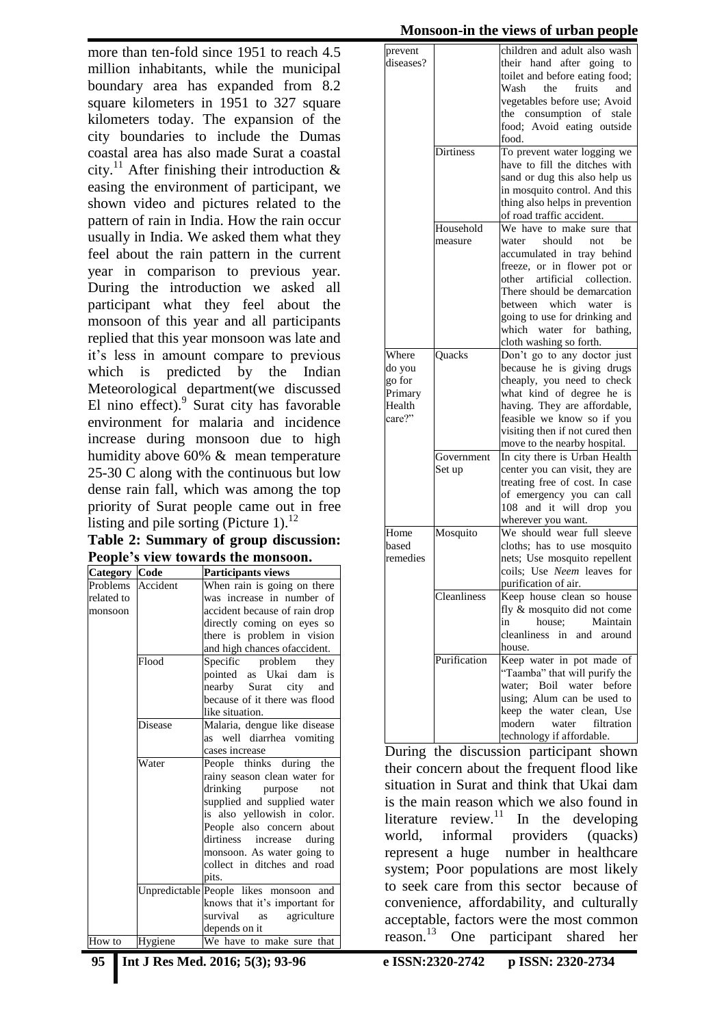more than ten-fold since 1951 to reach 4.5 million inhabitants, while the municipal boundary area has expanded from 8.2 square kilometers in 1951 to 327 square kilometers today. The expansion of the city boundaries to include the Dumas coastal area has also made Surat a coastal city.<sup>11</sup> After finishing their introduction  $\&$ easing the environment of participant, we shown video and pictures related to the pattern of rain in India. How the rain occur usually in India. We asked them what they feel about the rain pattern in the current year in comparison to previous year. During the introduction we asked all participant what they feel about the monsoon of this year and all participants replied that this year monsoon was late and it's less in amount compare to previous which is predicted by the Indian Meteorological department(we discussed El nino effect).<sup>9</sup> Surat city has favorable environment for malaria and incidence increase during monsoon due to high humidity above 60% & mean temperature 25-30 C along with the continuous but low dense rain fall, which was among the top priority of Surat people came out in free listing and pile sorting (Picture 1). $^{12}$ 

**Table 2: Summary of group discussion: People's view towards the monsoon.**

| <b>Category Code</b> |         | Participants views                        |
|----------------------|---------|-------------------------------------------|
| Problems Accident    |         | When rain is going on there               |
| related to           |         | was increase in number of                 |
| monsoon              |         | accident because of rain drop             |
|                      |         | directly coming on eyes so                |
|                      |         | there is problem in vision                |
|                      |         | and high chances of accident.             |
|                      | Flood   | Specific problem<br>they                  |
|                      |         | pointed as Ukai dam is                    |
|                      |         | nearby Surat city and                     |
|                      |         | because of it there was flood             |
|                      |         | like situation.                           |
|                      | Disease | Malaria, dengue like disease              |
|                      |         | as well diarrhea vomiting                 |
|                      |         | cases increase                            |
|                      | Water   | People thinks during the                  |
|                      |         | rainy season clean water for              |
|                      |         | drinking purpose<br>not                   |
|                      |         | supplied and supplied water               |
|                      |         | is also yellowish in color.               |
|                      |         | People also concern about                 |
|                      |         | dirtiness increase during                 |
|                      |         | monsoon. As water going to                |
|                      |         | collect in ditches and road               |
|                      |         | pits.                                     |
|                      |         | Unpredictable People likes monsoon<br>and |
|                      |         | knows that it's important for             |
|                      |         | survival<br>agriculture<br>as             |
|                      |         | depends on it                             |
| How to               | Hygiene | We have to make sure that                 |

| prevent   |              | children and adult also wash    |
|-----------|--------------|---------------------------------|
| diseases? |              | their hand after going to       |
|           |              | toilet and before eating food;  |
|           |              | Wash<br>fruits<br>the<br>and    |
|           |              |                                 |
|           |              | vegetables before use; Avoid    |
|           |              | the consumption of stale        |
|           |              | food; Avoid eating outside      |
|           |              | food.                           |
|           | Dirtiness    | To prevent water logging we     |
|           |              | have to fill the ditches with   |
|           |              | sand or dug this also help us   |
|           |              | in mosquito control. And this   |
|           |              | thing also helps in prevention  |
|           |              |                                 |
|           |              | of road traffic accident.       |
|           | Household    | We have to make sure that       |
|           | measure      | should<br>water<br>not<br>be    |
|           |              | accumulated in tray behind      |
|           |              | freeze, or in flower pot or     |
|           |              | other artificial collection.    |
|           |              | There should be demarcation     |
|           |              | between which water<br>is       |
|           |              | going to use for drinking and   |
|           |              |                                 |
|           |              | which water for<br>bathing,     |
|           |              | cloth washing so forth.         |
| Where     | Quacks       | Don't go to any doctor just     |
| do you    |              | because he is giving drugs      |
| go for    |              | cheaply, you need to check      |
| Primary   |              | what kind of degree he is       |
| Health    |              | having. They are affordable,    |
| care?"    |              | feasible we know so if you      |
|           |              | visiting then if not cured then |
|           |              |                                 |
|           |              | move to the nearby hospital.    |
|           | Government   | In city there is Urban Health   |
|           | Set up       | center you can visit, they are  |
|           |              | treating free of cost. In case  |
|           |              | of emergency you can call       |
|           |              | 108 and it will drop you        |
|           |              | wherever you want.              |
| Home      | Mosquito     | We should wear full sleeve      |
| based     |              | cloths; has to use mosquito     |
| remedies  |              |                                 |
|           |              | nets; Use mosquito repellent    |
|           |              | coils; Use Neem leaves for      |
|           |              | purification of air.            |
|           | Cleanliness  | Keep house clean so house       |
|           |              | fly & mosquito did not come     |
|           |              | house:<br>Maintain<br>in        |
|           |              | cleanliness in<br>and<br>around |
|           |              | house.                          |
|           | Purification | Keep water in pot made of       |
|           |              | "Taamba" that will purify the   |
|           |              |                                 |
|           |              | water; Boil water before        |
|           |              | using; Alum can be used to      |
|           |              | keep the water clean, Use       |
|           |              | modern<br>water<br>filtration   |
|           |              | technology if affordable.       |
|           |              |                                 |

During the discussion participant shown their concern about the frequent flood like situation in Surat and think that Ukai dam is the main reason which we also found in literature review.<sup>11</sup> In the developing world, informal providers (quacks) represent a huge number in healthcare system; Poor populations are most likely to seek care from this sector because of convenience, affordability, and culturally acceptable, factors were the most common reason.<sup>13</sup> One participant shared her